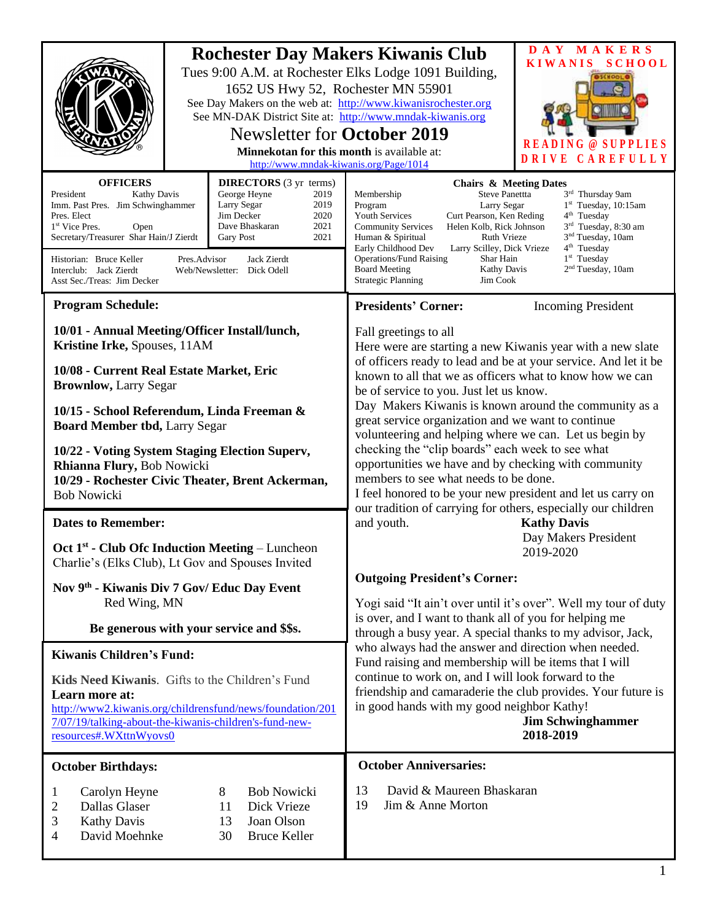|                                                                                                                                                                                                                                                                                                                                                                                                                                                                                              | 1652 US Hwy 52, Rochester MN 55901<br><b>Newsletter for October 2019</b><br>Minnekotan for this month is available at:<br>http://www.mndak-kiwanis.org/Page/1014 | <b>Rochester Day Makers Kiwanis Club</b><br>Tues 9:00 A.M. at Rochester Elks Lodge 1091 Building,<br>See Day Makers on the web at: http://www.kiwanisrochester.org<br>See MN-DAK District Site at: http://www.mndak-kiwanis.org                                                                                                                                                                                                                                                                                                                                                                                                                                                                                                                                                         | DAY MAKERS<br><b>KIWANIS</b><br><b>SCHOOL</b><br>$\omega$<br>-S<br>DRIVE CAREFULLY |
|----------------------------------------------------------------------------------------------------------------------------------------------------------------------------------------------------------------------------------------------------------------------------------------------------------------------------------------------------------------------------------------------------------------------------------------------------------------------------------------------|------------------------------------------------------------------------------------------------------------------------------------------------------------------|-----------------------------------------------------------------------------------------------------------------------------------------------------------------------------------------------------------------------------------------------------------------------------------------------------------------------------------------------------------------------------------------------------------------------------------------------------------------------------------------------------------------------------------------------------------------------------------------------------------------------------------------------------------------------------------------------------------------------------------------------------------------------------------------|------------------------------------------------------------------------------------|
| <b>OFFICERS</b><br><b>DIRECTORS</b> (3 yr terms)<br>President<br>George Heyne<br><b>Kathy Davis</b><br>2019<br>Imm. Past Pres. Jim Schwinghammer<br>Larry Segar<br>2019<br>Jim Decker<br>2020<br>Pres. Elect<br>2021<br>Dave Bhaskaran<br>1 <sup>st</sup> Vice Pres.<br>Open<br>Secretary/Treasurer Shar Hain/J Zierdt<br>2021<br>Gary Post<br>Jack Zierdt<br>Historian: Bruce Keller<br>Pres.Advisor<br>Interclub: Jack Zierdt<br>Web/Newsletter: Dick Odell<br>Asst Sec./Treas: Jim Decker |                                                                                                                                                                  | <b>Chairs &amp; Meeting Dates</b><br>3rd Thursday 9am<br>Steve Panettta<br>Membership<br>Program<br>$1st$ Tuesday, 10:15am<br>Larry Segar<br><b>Youth Services</b><br>Curt Pearson, Ken Reding<br>$4th$ Tuesday<br>Helen Kolb, Rick Johnson<br>3 <sup>rd</sup> Tuesday, 8:30 am<br><b>Community Services</b><br>3 <sup>nd</sup> Tuesday, 10am<br>Human & Spiritual<br><b>Ruth Vrieze</b><br>4 <sup>th</sup> Tuesday<br>Early Childhood Dev<br>Larry Scilley, Dick Vrieze<br>$1st$ Tuesday<br><b>Operations/Fund Raising</b><br>Shar Hain<br>2 <sup>nd</sup> Tuesday, 10am<br><b>Board Meeting</b><br>Kathy Davis<br><b>Strategic Planning</b><br>Jim Cook                                                                                                                               |                                                                                    |
| <b>Program Schedule:</b>                                                                                                                                                                                                                                                                                                                                                                                                                                                                     |                                                                                                                                                                  | <b>Presidents' Corner:</b>                                                                                                                                                                                                                                                                                                                                                                                                                                                                                                                                                                                                                                                                                                                                                              | <b>Incoming President</b>                                                          |
| 10/01 - Annual Meeting/Officer Install/lunch,<br>Kristine Irke, Spouses, 11AM<br>10/08 - Current Real Estate Market, Eric<br><b>Brownlow, Larry Segar</b><br>10/15 - School Referendum, Linda Freeman &<br><b>Board Member tbd, Larry Segar</b><br>10/22 - Voting System Staging Election Superv,<br>Rhianna Flury, Bob Nowicki<br>10/29 - Rochester Civic Theater, Brent Ackerman,<br><b>Bob Nowicki</b><br><b>Dates to Remember:</b>                                                       |                                                                                                                                                                  | Fall greetings to all<br>Here were are starting a new Kiwanis year with a new slate<br>of officers ready to lead and be at your service. And let it be<br>known to all that we as officers what to know how we can<br>be of service to you. Just let us know.<br>Day Makers Kiwanis is known around the community as a<br>great service organization and we want to continue<br>volunteering and helping where we can. Let us begin by<br>checking the "clip boards" each week to see what<br>opportunities we have and by checking with community<br>members to see what needs to be done.<br>I feel honored to be your new president and let us carry on<br>our tradition of carrying for others, especially our children<br><b>Kathy Davis</b><br>and youth.<br>Day Makers President |                                                                                    |
| Oct $1st$ - Club Ofc Induction Meeting – Luncheon<br>Charlie's (Elks Club), Lt Gov and Spouses Invited                                                                                                                                                                                                                                                                                                                                                                                       |                                                                                                                                                                  | 2019-2020                                                                                                                                                                                                                                                                                                                                                                                                                                                                                                                                                                                                                                                                                                                                                                               |                                                                                    |
| Nov 9th - Kiwanis Div 7 Gov/ Educ Day Event<br>Red Wing, MN<br>Be generous with your service and \$\$s.                                                                                                                                                                                                                                                                                                                                                                                      |                                                                                                                                                                  | <b>Outgoing President's Corner:</b><br>Yogi said "It ain't over until it's over". Well my tour of duty<br>is over, and I want to thank all of you for helping me<br>through a busy year. A special thanks to my advisor, Jack,<br>who always had the answer and direction when needed.<br>Fund raising and membership will be items that I will<br>continue to work on, and I will look forward to the<br>friendship and camaraderie the club provides. Your future is<br>in good hands with my good neighbor Kathy!<br><b>Jim Schwinghammer</b><br>2018-2019                                                                                                                                                                                                                           |                                                                                    |
| <b>Kiwanis Children's Fund:</b>                                                                                                                                                                                                                                                                                                                                                                                                                                                              |                                                                                                                                                                  |                                                                                                                                                                                                                                                                                                                                                                                                                                                                                                                                                                                                                                                                                                                                                                                         |                                                                                    |
| Kids Need Kiwanis. Gifts to the Children's Fund<br>Learn more at:<br>http://www2.kiwanis.org/childrensfund/news/foundation/201<br>7/07/19/talking-about-the-kiwanis-children's-fund-new-<br>resources#.WXttnWyovs0                                                                                                                                                                                                                                                                           |                                                                                                                                                                  |                                                                                                                                                                                                                                                                                                                                                                                                                                                                                                                                                                                                                                                                                                                                                                                         |                                                                                    |
| <b>October Birthdays:</b>                                                                                                                                                                                                                                                                                                                                                                                                                                                                    |                                                                                                                                                                  | <b>October Anniversaries:</b>                                                                                                                                                                                                                                                                                                                                                                                                                                                                                                                                                                                                                                                                                                                                                           |                                                                                    |
| Carolyn Heyne<br>1<br>Dallas Glaser<br>2<br>3<br><b>Kathy Davis</b><br>David Moehnke<br>4                                                                                                                                                                                                                                                                                                                                                                                                    | <b>Bob Nowicki</b><br>8<br>Dick Vrieze<br>11<br>Joan Olson<br>13<br><b>Bruce Keller</b><br>30                                                                    | David & Maureen Bhaskaran<br>13<br>19<br>Jim & Anne Morton                                                                                                                                                                                                                                                                                                                                                                                                                                                                                                                                                                                                                                                                                                                              |                                                                                    |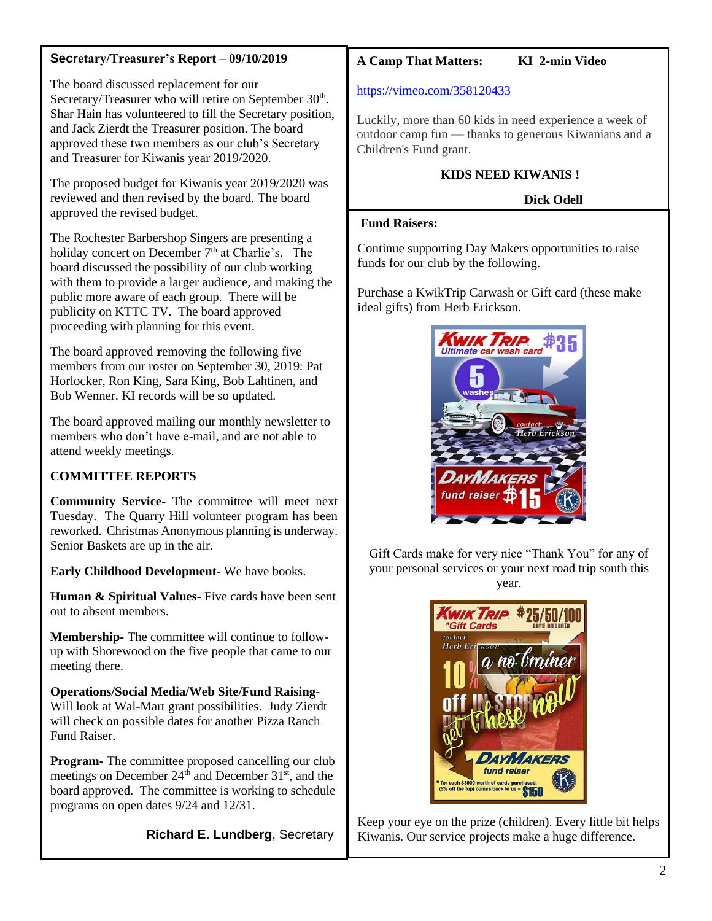## **Secretary/Treasurer's Report – 09/10/2019**

The board discussed replacement for our Secretary/Treasurer who will retire on September 30<sup>th</sup>. Shar Hain has volunteered to fill the Secretary position, and Jack Zierdt the Treasurer position. The board approved these two members as our club's Secretary and Treasurer for Kiwanis year 2019/2020.

The proposed budget for Kiwanis year 2019/2020 was reviewed and then revised by the board. The board approved the revised budget.

The Rochester Barbershop Singers are presenting a holiday concert on December  $7<sup>th</sup>$  at Charlie's. The board discussed the possibility of our club working with them to provide a larger audience, and making the public more aware of each group. There will be publicity on KTTC TV. The board approved proceeding with planning for this event.

The board approved **r**emoving the following five members from our roster on September 30, 2019: Pat Horlocker, Ron King, Sara King, Bob Lahtinen, and Bob Wenner. KI records will be so updated.

The board approved mailing our monthly newsletter to members who don't have e-mail, and are not able to attend weekly meetings.

# **COMMITTEE REPORTS**

**Community Service-** The committee will meet next Tuesday. The Quarry Hill volunteer program has been reworked. Christmas Anonymous planning is underway. Senior Baskets are up in the air.

**Early Childhood Development-** We have books.

**Human & Spiritual Values-** Five cards have been sent out to absent members.

**Membership-** The committee will continue to followup with Shorewood on the five people that came to our meeting there.

**Operations/Social Media/Web Site/Fund Raising-**Will look at Wal-Mart grant possibilities. Judy Zierdt will check on possible dates for another Pizza Ranch Fund Raiser.

**Program-** The committee proposed cancelling our club meetings on December  $24<sup>th</sup>$  and December  $31<sup>st</sup>$ , and the board approved. The committee is working to schedule programs on open dates 9/24 and 12/31.

 **Richard E. Lundberg**, Secretary

# **A Camp That Matters: KI 2-min Video**

#### <https://vimeo.com/358120433>

Luckily, more than 60 kids in need experience a week of outdoor camp fun — thanks to generous Kiwanians and a Children's Fund grant.

## **KIDS NEED KIWANIS !**

## **Dick Odell**

## **Fund Raisers:**

Continue supporting Day Makers opportunities to raise funds for our club by the following.

Purchase a KwikTrip Carwash or Gift card (these make ideal gifts) from Herb Erickson.



Gift Cards make for very nice "Thank You" for any of your personal services or your next road trip south this year.



Keep your eye on the prize (children). Every little bit helps Kiwanis. Our service projects make a huge difference.